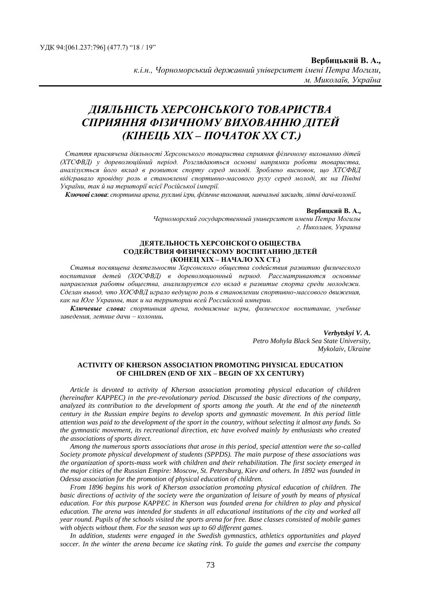# *ДІЯЛЬНІСТЬ ХЕРСОНСЬКОГО ТОВАРИСТВА СПРИЯННЯ ФІЗИЧНОМУ ВИХОВАННЮ ДІТЕЙ (КІНЕЦЬ ХІХ – ПОЧАТОК ХХ СТ.)*

*Стаття присвячена діяльності Херсонського товариства сприяння фізичному вихованню дітей (ХТСФВД) у дореволюційний період. Розглядаються основні напрямки роботи товариства, аналізується його вклад в розвиток спорту серед молоді. Зроблено висновок, що ХТСФВД відігравало провідну роль в становленні спортивно-масового руху серед молоді, як на Півдні України, так й на території всієї Російської імперії.*

*Ключові слова*: *спортивна арена, рухливі ігри, фізичне виховання, навчальні заклади, літні дачі-колонії.*

#### **Вербицкий В. А.,**

*Черноморский государственный университет имени Петра Могилы г. Николаев, Украина*

#### **ДЕЯТЕЛЬНОСТЬ ХЕРСОНСКОГО ОБЩЕСТВА СОДЕЙСТВИЯ ФИЗИЧЕСКОМУ ВОСПИТАНИЮ ДЕТЕЙ (КОНЕЦ ХIХ – НАЧАЛО ХХ СТ.)**

*Статья посвящена деятельности Херсонского общества содействия развитию физического воспитания детей (ХОСФВД) в дореволюционный период. Рассматриваются основные направления работы общества, анализируется его вклад в развитие спорта среди молодежи. Сделан вывод, что ХОСФВД играло ведущую роль в становлении спортивно-массового движения, как на Юге Украины, так и на территории всей Российской империи.*

*Ключевые слова: спортивная арена, подвижные игры, физическое воспитание, учебные заведения, летние дачи – колонии.*

> *Verbytskyi V. A. Petro Mohyla Black Sea State University, Mykolaiv, Ukraine*

### **ACTIVITY OF KHERSON ASSOCIATION PROMOTING PHYSICAL EDUCATION OF CHILDREN (END OF XIX – BEGIN OF XX CENTURY)**

*Article is devoted to activity of Kherson association promoting physical education of children (hereinafter KAPPEC) in the pre-revolutionary period. Discussed the basic directions of the company, analyzed its contribution to the development of sports among the youth. At the end of the nineteenth century in the Russian empire begins to develop sports and gymnastic movement. In this period little attention was paid to the development of the sport in the country, without selecting it almost any funds. So the gymnastic movement, its recreational direction, etc have evolved mainly by enthusiasts who created the associations of sports direct.* 

*Among the numerous sports associations that arose in this period, special attention were the so-called Society promote physical development of students (SPPDS). The main purpose of these associations was the organization of sports-mass work with children and their rehabilitation. The first society emerged in the major cities of the Russian Empire: Moscow, St. Petersburg, Kiev and others. In 1892 was founded in Odessa association for the promotion of physical education of children.* 

*From 1896 begins his work of Kherson association promoting physical education of children. The basic directions of activity of the society were the organization of leisure of youth by means of physical education. For this purpose KAPPEC in Kherson was founded arena for children to play and physical education. The arena was intended for students in all educational institutions of the city and worked all year round. Pupils of the schools visited the sports arena for free. Base classes consisted of mobile games with objects without them. For the season was up to 60 different games.* 

*In addition, students were engaged in the Swedish gymnastics, athletics opportunities and played soccer. In the winter the arena became ice skating rink. To guide the games and exercise the company*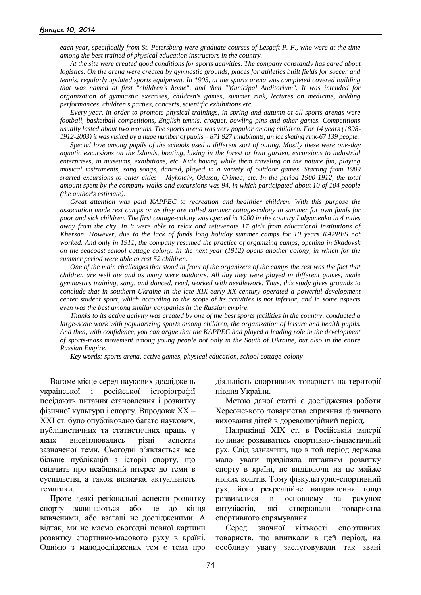*each year, specifically from St. Petersburg were graduate courses of Lesgaft P. F., who were at the time among the best trained of physical education instructors in the country.* 

*At the site were created good conditions for sports activities. The company constantly has cared about logistics. On the arena were created by gymnastic grounds, places for athletics built fields for soccer and tennis, regularly updated sports equipment. In 1905, at the sports arena was completed covered building that was named at first "children's home", and then "Municipal Auditorium". It was intended for organization of gymnastic exercises, children's games, summer rink, lectures on medicine, holding performances, children's parties, concerts, scientific exhibitions etc.* 

*Every year, in order to promote physical trainings, in spring and autumn at all sports arenas were football, basketball competitions, English tennis, croquet, bowling pins and other games. Competitions usually lasted about two months. The sports arena was very popular among children. For 14 years (1898- 1912-2003) it was visited by a huge number of pupils – 871 927 inhabitants, an ice skating rink-67 139 people.*

*Special love among pupils of the schools used a different sort of outing. Mostly these were one-day aquatic excursions on the Islands, boating, hiking in the forest or fruit garden, excursions to industrial enterprises, in museums, exhibitions, etc. Kids having while them traveling on the nature fun, playing musical instruments, sang songs, danced, played in a variety of outdoor games. Starting from 1909 srarted excursions to other cities – Mykolaiv, Odessa, Crimea, etc. In the period 1900-1912, the total amount spent by the company walks and excursions was 94, in which participated about 10 of 104 people (the author's estimate).* 

*Great attention was paid KAPPEC to recreation and healthier children. With this purpose the association made rest camps or as they are called summer cottage-colony in summer for own funds for poor and sick children. The first cottage-colony was opened in 1900 in the country Lubyanenko in 4 miles away from the city. In it were able to relax and rejuvenate 17 girls from educational institutions of Kherson. However, due to the lack of funds long holiday summer camps for 10 years KAPPES not worked. And only in 1911, the company resumed the practice of organizing camps, opening in Skadovsk on the seacoast school cottage-colony. In the next year (1912) opens another colony, in which for the summer period were able to rest 52 children.* 

*One of the main challenges that stood in front of the organizers of the camps the rest was the fact that children are well ate and as many were outdoors. All day they were played in different games, made gymnastics training, sang, and danced, read, worked with needlework. Thus, this study gives grounds to conclude that in southern Ukraine in the late XIX-early XX century operated a powerful development center student sport, which according to the scope of its activities is not inferior, and in some aspects even was the best among similar companies in the Russian empire.* 

*Thanks to its active activity was created by one of the best sports facilities in the country, conducted a large-scale work with popularizing sports among children, the organization of leisure and health pupils. And then, with confidence, you can argue that the KAPPEC had played a leading role in the development of sports-mass movement among young people not only in the South of Ukraine, but also in the entire Russian Empire.*

*Key words: sports arena, active games, physical education, school cottage-colony*

Вагоме місце серед наукових досліджень української і російської історіографії посідають питання становлення і розвитку фізичної культури і спорту. Впродовж ХХ – ХХІ ст. було опубліковано багато наукових, публіцистичних та статистичних праць, у яких висвітлювались різні аспекти зазначеної теми. Сьогодні з'являється все більше публікацій з історії спорту, що свідчить про неабиякий інтерес до теми в суспільстві, а також визначає актуальність тематики.

Проте деякі регіональні аспекти розвитку спорту залишаються або не до кінця вивченими, або взагалі не дослідженими. А відтак, ми не маємо сьогодні повної картини розвитку спортивно-масового руху в країні. Однією з малодосліджених тем є тема про діяльність спортивних товариств на території півдня України.

Метою даної статті є дослідження роботи Херсонського товариства сприяння фізичного виховання дітей в дореволюційний період.

Наприкінці ХІХ ст. в Російській імперії починає розвиватись спортивно-гімнастичний рух. Слід зазначити, що в той період держава мало уваги приділяла питанням розвитку спорту в країні, не виділяючи на це майже ніяких коштів. Тому фізкультурно-спортивний рух, його рекреаційне направлення тощо розвивалися в основному за рахунок ентузіастів, які створювали товариства спортивного спрямування.

Серед значної кількості спортивних товариств, що виникали в цей період, на особливу увагу заслуговували так звані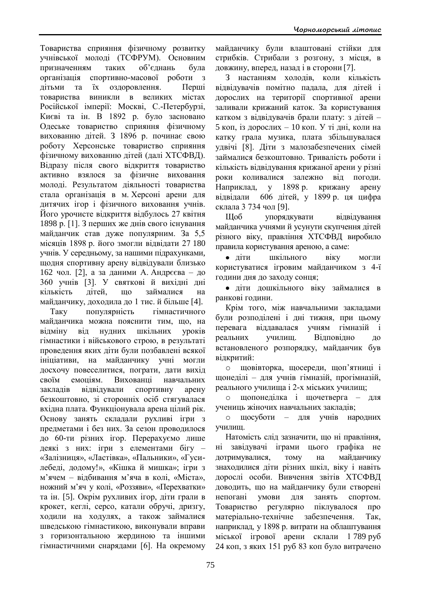Товариства сприяння фізичному розвитку учнівської молоді (ТСФРУМ). Основним призначенням таких об'єднань була організація спортивно-масової роботи з дітьми та їх оздоровлення. Перші товариства виникли в великих містах Російської імперії: Москві, С.-Петербурзі, Києві та ін. В 1892 р. було засновано Одеське товариство сприяння фізичному вихованню дітей. З 1896 р. починає свою роботу Херсонське товариство сприяння фізичному вихованню дітей (далі ХТСФВД). Відразу після свого відкриття товариство активно взялося за фізичне виховання молоді. Результатом діяльності товариства стала організація в м. Херсоні арени для дитячих ігор і фізичного виховання учнів. Його урочисте відкриття відбулось 27 квітня 1898 р. [1]. З перших же днів свого існування майданчик став дуже популярним. За 5,5 місяців 1898 р. його змогли відвідати 27 180 учнів. У середньому, за нашими підрахунками, щодня спортивну арену відвідували близько 162 чол. [2], а за даними А. Андрєєва – до 360 учнів [3]. У святкові й вихідні дні кількість дітей, що займалися на майданчику, доходила до 1 тис. й більше [4].

Таку популярність гімнастичного майданчика можна пояснити тим, що, на відміну від нудних шкільних уроків гімнастики і військового строю, в результаті проведення яких діти були позбавлені всякої ініціативи, на майданчику учні могли досхочу повеселитися, пограти, дати вихід своїм емоціям. Вихованці навчальних закладів відвідували спортивну арену безкоштовно, зі сторонніх осіб стягувалася вхідна плата. Функціонувала арена цілий рік. Основу занять складали рухливі ігри з предметами і без них. За сезон проводилося до 60-ти різних ігор. Перерахуємо лише деякі з них: ігри з елементами бігу – «Залізниця», «Ластівка», «Пальники», «Гусилебеді, додому!», «Кішка й мишка»; ігри з м'ячем – відбивання м'яча в колі, «Міста», ножний м'яч у колі, «Роззяви», «Перехватки» та ін. [5]. Окрім рухливих ігор, діти грали в крокет, кеглі, серсо, катали обручі, дризгу, ходили на ходулях, а також займалися шведською гімнастикою, виконували вправи з горизонтальною жердиною та іншими гімнастичними снарядами [6]. На окремому

майданчику були влаштовані стійки для стрибків. Стрибали з розгону, з місця, в довжину, вперед, назад і в сторони [7].

З настанням холодів, коли кількість відвідувачів помітно падала, для дітей і дорослих на території спортивної арени заливали крижаний каток. За користування катком з відвідувачів брали плату: з дітей – 5 коп, із дорослих – 10 коп. У ті дні, коли на катку грала музика, плата збільшувалася удвічі [8]. Діти з малозабезпечених сімей займалися безкоштовно. Тривалість роботи і кількість відвідування крижаної арени у різні роки коливалися залежно від погоди. Наприклад, у 1898 р. крижану арену відвідали 606 дітей, у 1899 р. ця цифра склала 3 734 чол [9].

Щоб упорядкувати відвідування майданчика учнями й усунути скупчення дітей різного віку, правління ХТСФВД виробило правила користування ареною, а саме:

діти шкільного віку могли користуватися ігровим майданчиком з 4-ї години дня до заходу сонця;

діти дошкільного віку займалися в ранкові години.

Крім того, між навчальними закладами були розподілені і дні тижня, при цьому перевага віддавалася учням гімназій і реальних училищ. Відповідно до встановленого розпорядку, майданчик був відкритий:

o щовівторка, щосереди, щоп'ятниці і щонеділі – для учнів гімназій, прогімназій, реального училища і 2-х міських училищ;

o щопонеділка і щочетверга – для учениць жіночих навчальних закладів;

o щосуботи – для учнів народних училищ.

Натомість слід зазначити, що ні правління, ні завідувачі іграми цього графіка не дотримувалися, тому на майданчику знаходилися діти різних шкіл, віку і навіть дорослі особи. Вивчення звітів ХТСФВД доводить, що на майданчику були створені непогані умови для занять спортом. Товариство регулярно піклувалося про матеріально-технічне забезпечення. Так, наприклад, у 1898 р. витрати на облаштування міської ігрової арени склали 1 789 руб 24 коп, з яких 151 руб 83 коп було витрачено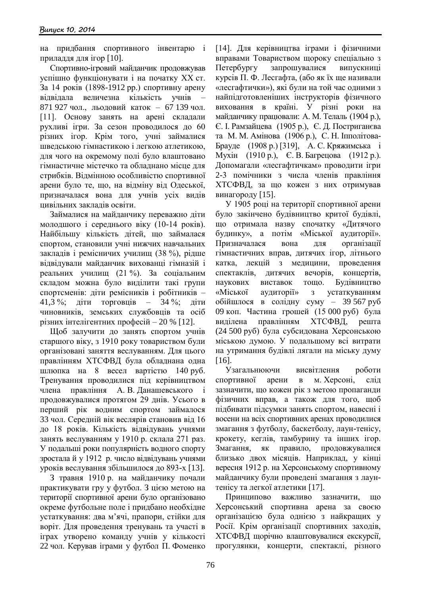на придбання спортивного інвентарю і приладдя для ігор [10].

Спортивно-ігровий майданчик продовжував успішно функціонувати і на початку ХХ ст. За 14 років (1898-1912 рр.) спортивну арену відвідала величезна кількість учнів – 871 927 чол., льодовий каток – 67 139 чол. [11]. Основу занять на арені складали рухливі ігри. За сезон проводилося до 60 різних ігор. Крім того, учні займалися шведською гімнастикою і легкою атлетикою, для чого на окремому полі було влаштовано гімнастичне містечко та обладнано місце для стрибків. Відмінною особливістю спортивної арени було те, що, на відміну від Одеської, призначалася вона для учнів усіх видів цивільних закладів освіти.

Займалися на майданчику переважно діти молодшого і середнього віку (10-14 років). Найбільшу кількість дітей, що займалася спортом, становили учні нижчих навчальних закладів і ремісничих училищ (38 %), рідше відвідували майданчик вихованці гімназій і реальних училищ (21 %). За соціальним складом можна було виділити такі групи спортсменів: діти ремісників і робітників – 41,3 %; діти торговців – 34 %; діти чиновників, земських службовців та осіб різних інтелігентних професій – 20 % [12].

Щоб залучити до занять спортом учнів старшого віку, з 1910 року товариством були організовані заняття веслуванням. Для цього правлінням ХТСФВД була обладнана одна шлюпка на 8 весел вартістю 140 руб. Тренування проводилися під керівництвом члена правління А. В. Данашевського і продовжувалися протягом 29 днів. Усього в перший рік водним спортом займалося 33 чол. Середній вік веслярів становив від 16 до 18 років. Кількість відвідувань учнями занять веслуванням у 1910 р. склала 271 раз. У подальші роки популярність водного спорту зростала й у 1912 р. число відвідувань учнями уроків веслування збільшилося до 893-х [13].

З травня 1910 р. на майданчику почали практикувати гру у футбол. З цією метою на території спортивної арени було організовано окреме футбольне поле і придбано необхідне устаткування: два м'ячі, прапори, стійки для воріт. Для проведення тренувань та участі в іграх утворено команду учнів у кількості 22 чол. Керував іграми у футбол П. Фоменко

[14]. Для керівництва іграми і фізичними вправами Товариством щороку спеціально з Петербургу запрошувалися випускниці курсів П. Ф. Лесгафта, (або як їх ще називали «лесгафтички»), які були на той час одними з найпідготовленіших інструкторів фізичного виховання в країні. У різні роки на майданчику працювали: А. М. Телаль (1904 р.), Є. І. Рамзайцева (1905 р.), Є. Д. Постриганєва та М. М. Амінова (1906 р.), С. Н. Іпполітова-Брауде (1908 р.) [319], А. С. Кряжимська і Мухін (1910 р.), Є. В. Багрецова (1912 р.). Допомагали «лесгафтичкам» проводити ігри 2-3 помічники з числа членів правління ХТСФВД, за що кожен з них отримував винагороду [15].

У 1905 році на території спортивної арени було закінчено будівництво критої будівлі, що отримала назву спочатку «Дитячого будинку», а потім «Міської аудиторії». Призначалася вона для організації гімнастичних вправ, дитячих ігор, літнього катка, лекцій з медицини, проведення спектаклів, дитячих вечорів, концертів, наукових виставок тощо. Будівництво «Міської аудиторії» з устаткуванням обійшлося в солідну суму – 39 567 руб 09 коп. Частина грошей (15 000 руб) була виділена правлінням ХТСФВД, решта (24 500 руб) була субсидована Херсонською міською думою. У подальшому всі витрати на утримання будівлі лягали на міську думу [16].

Узагальнюючи висвітлення роботи спортивної арени в м. Херсоні, слід зазначити, що кожен рік з метою пропаганди фізичних вправ, а також для того, щоб підбивати підсумки занять спортом, навесні і восени на всіх спортивних аренах проводилися змагання з футболу, баскетболу, лаун-тенісу, крокету, кеглів, тамбурину та інших ігор. Змагання, як правило, продовжувалися близько двох місяців. Наприклад, у кінці вересня 1912 р. на Херсонському спортивному майданчику були проведені змагання з лаунтенісу та легкої атлетики [17].

Принципово важливо зазначити, що Херсонський спортивна арена за своєю організацією була однією з найкращих у Росії. Крім організації спортивних заходів, ХТСФВД щорічно влаштовувалися екскурсії, прогулянки, концерти, спектаклі, різного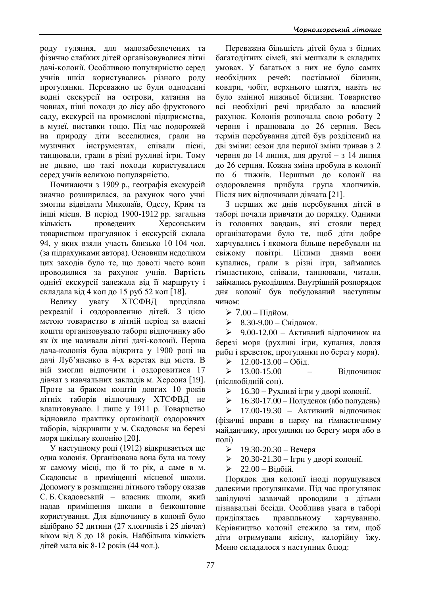роду гуляння, для малозабезпечених та фізично слабких дітей організовувалися літні дачі-колонії. Особливою популярністю серед учнів шкіл користувались різного роду прогулянки. Переважно це були одноденні водні екскурсії на острови, катання на човнах, піші походи до лісу або фруктового саду, екскурсії на промислові підприємства, в музеї, виставки тощо. Під час подорожей на природу діти веселилися, грали на музичних інструментах, співали пісні, танцювали, грали в різні рухливі ігри. Тому не дивно, що такі походи користувалися серед учнів великою популярністю.

Починаючи з 1909 р., географія екскурсій значно розширилася, за рахунок чого учні змогли відвідати Миколаїв, Одесу, Крим та інші місця. В період 1900-1912 рр. загальна кількість проведених Херсонським товариством прогулянок і екскурсій склала 94, у яких взяли участь близько 10 104 чол. (за підрахунками автора). Основним недоліком цих заходів було те, що доволі часто вони проводилися за рахунок учнів. Вартість однієї екскурсії залежала від її маршруту і складала від 4 коп до 15 руб 52 коп [18].

Велику увагу ХТСФВД приділяла рекреації і оздоровленню дітей. З цією метою товариство в літній період за власні кошти організовувало табори відпочинку або як їх ще називали літні дачі-колонії. Перша дача-колонія була відкрита у 1900 році на дачі Луб'яненко в 4-х верстах від міста. В ній змогли відпочити і оздоровитися 17 дівчат з навчальних закладів м. Херсона [19]. Проте за браком коштів довгих 10 років літніх таборів відпочинку ХТСФВД не влаштовувало. І лише у 1911 р. Товариство відновило практику організації оздоровчих таборів, відкривши у м. Скадовськ на березі моря шкільну колонію [20].

У наступному році (1912) відкривається ще одна колонія. Організована вона була на тому ж самому місці, що й то рік, а саме в м. Скадовськ в приміщенні місцевої школи. Допомогу в розміщенні літнього табору оказав С. Б. Скадовський – власник школи, який надав приміщення школи в безкоштовне користування. Для відпочинку в колонії було відібрано 52 дитини (27 хлопчиків і 25 дівчат) віком від 8 до 18 років. Найбільша кількість дітей мала вік 8-12 років (44 чол.).

Переважна більшість дітей була з бідних багатодітних сімей, які мешкали в складних умовах. У багатьох з них не було самих необхідних речей: постільної білизни, ковдри, чобіт, верхнього плаття, навіть не було змінної нижньої білизни. Товариство всі необхідні речі придбало за власний рахунок. Колонія розпочала свою роботу 2 червня і працювала до 26 серпня. Весь термін перебування дітей був розділений на дві зміни: сезон для першої зміни тривав з 2 червня до 14 липня, для другої – з 14 липня до 26 серпня. Кожна зміна пробула в колонії по 6 тижнів. Першими до колонії на оздоровлення прибула група хлопчиків. Після них відпочивали дівчата [21].

З перших же днів перебування дітей в таборі почали привчати до порядку. Одними із головних завдань, які стояли перед організаторами було те, щоб діти добре харчувались і якомога більше перебували на свіжому повітрі. Цілими днями вони купались, грали в різні ігри, займались гімнастикою, співали, танцювали, читали, займались рукоділлям. Внутрішній розпорядок дня колонії був побудований наступним чином:

 $> 7.00 - \Pi$ ідйом.

 $\geq 8.30 - 9.00 - \text{C}\text{H}$ ланок.

 $\geq 9.00 - 12.00 - A$ ктивний відпочинок на березі моря (рухливі ігри, купання, ловля риби і креветок, прогулянки по берегу моря).

 $\geq 12.00 - 13.00 - 06i\pi$ .

 $\geq 13.00-15.00$  – Відпочинок (післяобідній сон).

 $\geq 16.30 - P$ ухливі ігри у дворі колонії.

 $\geq 16.30 - 17.00 - \text{Полудень}$  (або полудень)

 $\geq 17.00-19.30 - AK$ тивний вілпочинок (фізичні вправи в парку на гімнастичному майданчику, прогулянки по берегу моря або в полі)

19.30-20.30 – Вечеря

 $≥$  20.30-21.30 – Ігри у дворі колонії.

 $≥ 22.00 - Bi$ дбій.

Порядок дня колонії іноді порушувався далекими прогулянками. Під час прогулянок завідуючі зазвичай проводили з дітьми пізнавальні бесіди. Особлива увага в таборі приділялась правильному харчуванню. Керівництво колонії стежило за тим, щоб діти отримували якісну, калорійну їжу. Меню складалося з наступних блюд: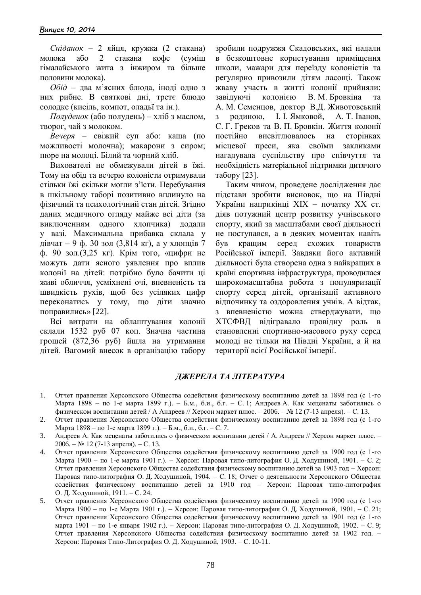*Сніданок* – 2 яйця, кружка (2 стакана) молока або 2 стакана кофе (суміш гімалайського жита з інжиром та більше половини молока).

*Обід* – два м'ясних блюда, іноді одно з них рибне. В святкові дні, третє блюдо солодке (кисіль, компот, оладьї та ін.).

*Полуденок* (або полудень) – хліб з маслом, творог, чай з молоком.

*Вечеря* – свіжий суп або: каша (по можливості молочна); макарони з сиром; пюре на молоці. Білий та чорний хліб.

Вихователі не обмежували дітей в їжі. Тому на обід та вечерю колоністи отримували стільки їжі скільки могли з'їсти. Перебування в шкільному таборі позитивно вплинуло на фізичний та психологічний стан дітей. Згідно даних медичного огляду майже всі діти (за виключенням одного хлопчика) додали у вазі. Максимальна прибавка склала у дівчат – 9 ф. 30 зол (3,814 кг), а у хлопців 7 ф. 90 зол.(3,25 кг). Крім того, «цифри не можуть дати ясного уявлення про вплив колонії на дітей: потрібно було бачити ці живі обличчя, усміхнені очі, впевненість та швидкість рухів, щоб без усіляких цифр переконатись у тому, що діти значно поправились» [22].

Всі витрати на облаштування колонії склали 1532 руб 07 коп. Значна частина грошей (872,36 руб) йшла на утримання дітей. Вагомий внесок в організацію табору

зробили подружжя Скадовських, які надали в безкоштовне користування приміщення школи, мажари для переїзду колоністів та регулярно привозили дітям ласощі. Також жваву участь в житті колонії прийняли: завідуючі колонією В. М. Бровкіна А. М. Семенцов, доктор В.Д. Животовський з родиною, І. І. Ямковой, А. Т. Іванов, С. Г. Греков та В. П. Бровкін. Життя колонії постійно висвітлювалось на сторінках місцевої преси, яка своїми закликами нагадувала суспільству про співчуття та необхідність матеріальної підтримки дитячого табору [23].

Таким чином, проведене дослідження дає підстави зробити висновок, що на Півдні України наприкінці ХІХ – початку ХХ ст. діяв потужний центр розвитку учнівського спорту, який за масштабами своєї діяльності не поступався, а в деяких моментах навіть був кращим серед схожих товариств Російської імперії. Завдяки його активній діяльності була створена одна з найкращих в країні спортивна інфраструктура, проводилася широкомасштабна робота з популяризації спорту серед дітей, організації активного відпочинку та оздоровлення учнів. А відтак, з впевненістю можна стверджувати, що ХТСФВД відігравало провідну роль в становленні спортивно-масового руху серед молоді не тільки на Півдні України, а й на території всієї Російської імперії.

## *ДЖЕРЕЛА ТА ЛІТЕРАТУРА*

- 1. Отчет правления Херсонского Общества содействия физическому воспитанию детей за 1898 год (с 1-го Марта 1898 – по 1-е марта 1899 г.). – Б.м., б.и., б.г. – С. 1; Андреев А. Как меценаты заботились о физическом воспитании детей / А Андреев // Херсон маркет плюс. – 2006. – № 12 (7-13 апреля). – С. 13.
- 2. Отчет правления Херсонского Общества содействия физическому воспитанию детей за 1898 год (с 1-го Марта 1898 – по 1-е марта 1899 г.). – Б.м., б.и., б.г. – С. 7.
- 3. Андреев А. Как меценаты заботились о физическом воспитании детей / А. Андреев // Херсон маркет плюс. 2006. – № 12 (7-13 апреля). – С. 13.
- 4. Отчет правления Херсонского Общества содействия физическому воспитанию детей за 1900 год (с 1-го Марта 1900 – по 1-е марта 1901 г.). – Херсон: Паровая типо-литография О. Д. Ходушиной, 1901. – С. 2; Отчет правления Херсонского Общества содействия физическому воспитанию детей за 1903 год – Херсон: Паровая типо-литография О. Д. Ходушиной, 1904. – С. 18; Отчет о деятельности Херсонского Общества содействия физическому воспитанию детей за 1910 год – Херсон: Паровая типо-литография О. Д. Ходушиной, 1911. – С. 24.
- 5. Отчет правления Херсонского Общества содействия физическому воспитанию детей за 1900 год (с 1-го Марта 1900 – по 1-е Марта 1901 г.). – Херсон: Паровая типо-литография О. Д. Ходушиной, 1901. – С. 21; Отчет правления Херсонского Общества содействия физическому воспитанию детей за 1901 год (с 1-го марта 1901 – по 1-е января 1902 г.). – Херсон: Паровая типо-литография О. Д. Ходушиной, 1902. – С. 9; Отчет правления Херсонского Общества содействия физическому воспитанию детей за 1902 год. – Херсон: Паровая Типо-Литография О. Д. Ходушиной, 1903. – С. 10-11.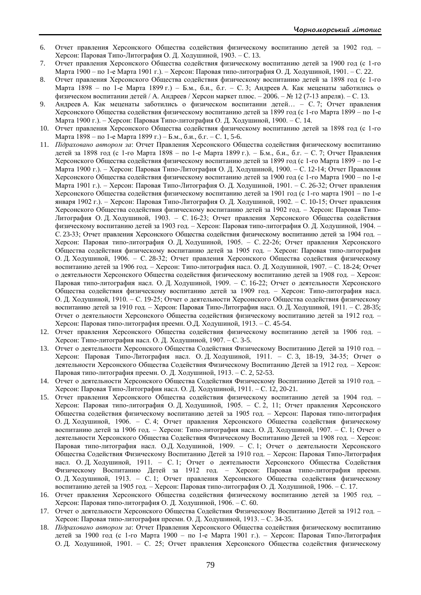- 6. Отчет правления Херсонского Общества содействия физическому воспитанию детей за 1902 год. Херсон: Паровая Типо-Литография О. Д. Ходушиной, 1903. – С. 13.
- 7. Отчет правления Херсонского Общества содействия физическому воспитанию детей за 1900 год (с 1-го Марта 1900 – по 1-е Марта 1901 г.). – Херсон: Паровая типо-литография О. Д. Ходушиной, 1901. – С. 22.
- 8. Отчет правления Херсонского Общества содействия физическому воспитанию детей за 1898 год (с 1-го Марта 1898 – по 1-е Марта 1899 г.) – Б.м., б.и., б.г. – С. 3; Андреев А. Как меценаты заботились о физическом воспитании детей / А. Андреев / Херсон маркет плюс. – 2006. – № 12 (7-13 апреля). – С. 13.
- 9. Андреев А. Как меценаты заботились о физическом воспитании детей… С. 7; Отчет правления Херсонского Общества содействия физическому воспитанию детей за 1899 год (с 1-го Марта 1899 – по 1-е Марта 1900 г.). – Херсон: Паровая Типо-литография О. Д. Ходушиной, 1900. – С. 14.
- 10. Отчет правления Херсонского Общества содействия физическому воспитанию детей за 1898 год (с 1-го Марта 1898 – по 1-е Марта 1899 г.) – Б.м., б.и., б.г. – С. 1, 5-6.
- 11. *Підраховано автором за*: Отчет Правления Херсонского Общества содействия физическому воспитанию детей за 1898 год (с 1-го Марта 1898 – по 1-е Марта 1899 г.). – Б.м., б.и., б.г. – С. 7; Отчет Правления Херсонского Общества содействия физическому воспитанию детей за 1899 год (с 1-го Марта 1899 – по 1-е Марта 1900 г.). – Херсон: Паровая Типо-Литография О. Д. Ходушиной, 1900. – С. 12-14; Отчет Правления Херсонского Общества содействия физическому воспитанию детей за 1900 год (с 1-го Марта 1900 – по 1-е Марта 1901 г.). – Херсон: Паровая Типо-Литография О. Д. Ходушиной, 1901. – С. 26-32; Отчет правления Херсонского Общества содействия физическому воспитанию детей за 1901 год (с 1-го марта 1901 – по 1-е января 1902 г.). – Херсон: Паровая Типо-Литография О. Д. Ходушиной, 1902. – С. 10-15; Отчет правления Херсонского Общества содействия физическому воспитанию детей за 1902 год. – Херсон: Паровая Типо-Литография О. Д. Ходушиной, 1903. – С. 16-23; Отчет правления Херсонского Общества содействия физическому воспитанию детей за 1903 год. – Херсон: Паровая типо-литография О. Д. Ходушиной, 1904. – С. 23-33; Отчет правления Херсонского Общества содействия физическому воспитанию детей за 1904 год. – Херсон: Паровая типо-литография О. Д. Ходушиной, 1905. – С. 22-26; Отчет правления Херсонского Общества содействия физическому воспитанию детей за 1905 год. – Херсон: Паровая типо-литография О. Д. Ходушиной, 1906. – С. 28-32; Отчет правления Херсонского Общества содействия физическому воспитанию детей за 1906 год. – Херсон: Типо-литография насл. О. Д. Ходушиной, 1907. – С. 18-24; Отчет о деятельности Херсонского Общества содействия физическому воспитанию детей за 1908 год. – Херсон: Паровая типо-литография насл. О. Д. Ходушиной, 1909. – С. 16-22; Отчет о деятельности Херсонского Общества содействия физическому воспитанию детей за 1909 год. – Херсон: Типо-литография насл. О. Д. Ходушиной, 1910. – С. 19-25; Отчет о деятельности Херсонского Общества содействия физическому воспитанию детей за 1910 год. – Херсон: Паровая Типо-Литография насл. О. Д. Ходушиной, 1911. – С. 28-35; Отчет о деятельности Херсонского Общества содействия физическому воспитанию детей за 1912 год. – Херсон: Паровая типо-литография преемн. О.Д. Ходушиной, 1913. – С. 45-54.
- 12. Отчет правления Херсонского Общества содействия физическому воспитанию детей за 1906 год. Херсон: Типо-литография насл. О. Д. Ходушиной, 1907. – С. 3-5.
- 13. Отчет о деятельности Херсонского Общества Содействия Физическому Воспитанию Детей за 1910 год. Херсон: Паровая Типо-Литография насл. О. Д. Ходушиной, 1911. – С. 3, 18-19, 34-35; Отчет о деятельности Херсонского Общества Содействия Физическому Воспитанию Детей за 1912 год. – Херсон: Паровая типо-литография преемн. О. Д. Ходушиной, 1913. – С. 2, 52-53.
- 14. Отчет о деятельности Херсонского Общества Содействия Физическому Воспитанию Детей за 1910 год. Херсон: Паровая Типо-Литография насл. О. Д. Ходушиной, 1911. – С. 12, 20-21.
- 15. Отчет правления Херсонского Общества содействия физическому воспитанию детей за 1904 год. Херсон: Паровая типо-литография О. Д. Ходушиной, 1905. – С. 2, 11; Отчет правления Херсонского Общества содействия физическому воспитанию детей за 1905 год. – Херсон: Паровая типо-литография О. Д. Ходушиной, 1906. – С. 4; Отчет правления Херсонского Общества содействия физическому воспитанию детей за 1906 год. – Херсон: Типо-литография насл. О. Д. Ходушиной, 1907. – С. 1; Отчет о деятельности Херсонского Общества Содействия Физическому Воспитанию Детей за 1908 год. – Херсон: Паровая типо-литография насл. О.Д. Ходушиной, 1909. – С. 1; Отчет о деятельности Херсонского Общества Содействия Физическому Воспитанию Детей за 1910 год. – Херсон: Паровая Типо-Литография насл. О. Д. Ходушиной, 1911. – С. 1; Отчет о деятельности Херсонского Общества Содействия Физическому Воспитанию Детей за 1912 год. – Херсон: Паровая типо-литография преемн. О. Д. Ходушиной, 1913. – С. 1; Отчет правления Херсонского Общества содействия физическому воспитанию детей за 1905 год. – Херсон: Паровая типо-литография О. Д. Ходушиной, 1906. – С. 17.
- 16. Отчет правления Херсонского Общества содействия физическому воспитанию детей за 1905 год. Херсон: Паровая типо-литография О. Д. Ходушиной, 1906. – С. 60.
- 17. Отчет о деятельности Херсонского Общества Содействия Физическому Воспитанию Детей за 1912 год. Херсон: Паровая типо-литография преемн. О. Д. Ходушиной, 1913. – С. 34-35.
- 18. *Підраховано автором за*: Отчет Правления Херсонского Общества содействия физическому воспитанию детей за 1900 год (с 1-го Марта 1900 – по 1-е Марта 1901 г.). – Херсон: Паровая Типо-Литография О. Д. Ходушиной, 1901. – С. 25; Отчет правления Херсонского Общества содействия физическому